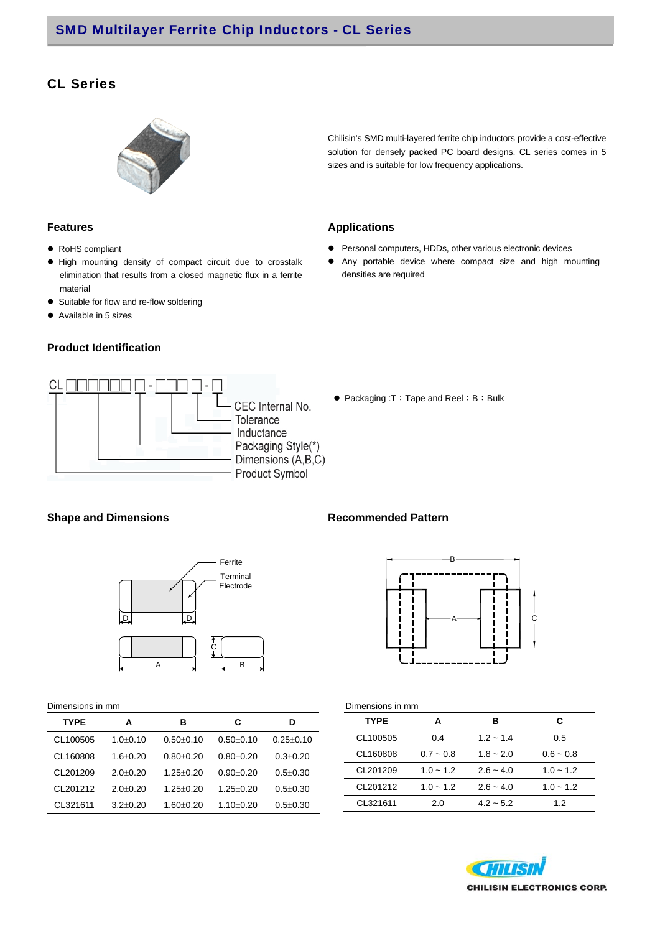# CL Series



### Chilisin's SMD multi-layered ferrite chip inductors provide a cost-effective solution for densely packed PC board designs. CL series comes in 5 sizes and is suitable for low frequency applications.

## **Features Applications**

- Personal computers, HDDs, other various electronic devices
- Any portable device where compact size and high mounting densities are required
- RoHS compliant
- High mounting density of compact circuit due to crosstalk elimination that results from a closed magnetic flux in a ferrite material
- Suitable for flow and re-flow soldering
- Available in 5 sizes

### **Product Identification**



● Packaging :T: Tape and Reel; B: Bulk

## **Shape and Dimensions Commended Pattern Recommended Pattern**



| Dimensions in mm |                |                 |               |                 |  |  |  |  |  |  |
|------------------|----------------|-----------------|---------------|-----------------|--|--|--|--|--|--|
| <b>TYPE</b>      | A              | в               | С             | D               |  |  |  |  |  |  |
| CL100505         | $1.0 \pm 0.10$ | $0.50 + 0.10$   | $0.50 + 0.10$ | $0.25 \pm 0.10$ |  |  |  |  |  |  |
| CL160808         | $1.6 \pm 0.20$ | $0.80 + 0.20$   | $0.80 + 0.20$ | $0.3 \pm 0.20$  |  |  |  |  |  |  |
| CL201209         | $2.0 + 0.20$   | $1.25 \pm 0.20$ | $0.90 + 0.20$ | $0.5 + 0.30$    |  |  |  |  |  |  |
| CL201212         | $2.0 \pm 0.20$ | $1.25 \pm 0.20$ | $1.25 + 0.20$ | $0.5 \pm 0.30$  |  |  |  |  |  |  |
| CL321611         | $3.2 + 0.20$   | $1.60 \pm 0.20$ | 1.10+0.20     | $0.5 + 0.30$    |  |  |  |  |  |  |

 $\overline{\phantom{a}}$ 

 $\overline{\phantom{a}}$ 



| Dimensions in mm |             |             |             |  |  |  |  |  |  |  |
|------------------|-------------|-------------|-------------|--|--|--|--|--|--|--|
| <b>TYPE</b>      | А           | R           | С           |  |  |  |  |  |  |  |
| CL100505         | 0.4         | $1.2 - 1.4$ | 0.5         |  |  |  |  |  |  |  |
| CL160808         | $0.7 - 0.8$ | $1.8 - 2.0$ | $0.6 - 0.8$ |  |  |  |  |  |  |  |
| CL201209         | $1.0 - 1.2$ | $2.6 - 4.0$ | $1.0 - 1.2$ |  |  |  |  |  |  |  |
| CL201212         | $1.0 - 1.2$ | $2.6 - 4.0$ | $1.0 - 1.2$ |  |  |  |  |  |  |  |
| CL321611         | 2.0         | $4.2 - 5.2$ | 1.2         |  |  |  |  |  |  |  |

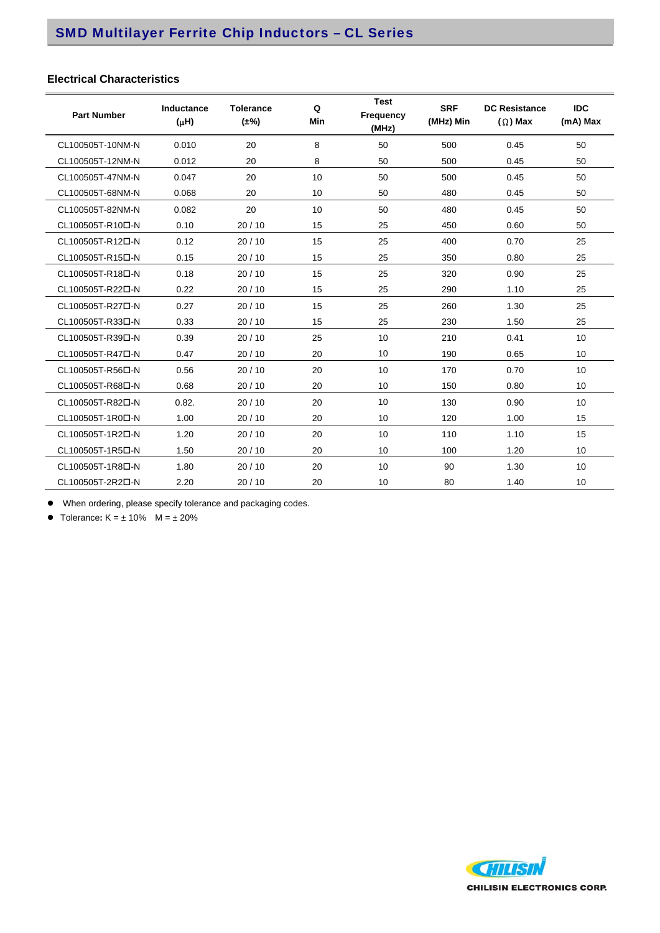## **Electrical Characteristics**

| <b>Part Number</b>            | Inductance<br>$(\mu H)$ | <b>Tolerance</b><br>$(\pm\%)$ | Q<br>Min | <b>Test</b><br>Frequency<br>(MHz) | <b>SRF</b><br>(MHz) Min | <b>DC Resistance</b><br>$(\Omega)$ Max | <b>IDC</b><br>(mA) Max |
|-------------------------------|-------------------------|-------------------------------|----------|-----------------------------------|-------------------------|----------------------------------------|------------------------|
| CL100505T-10NM-N              | 0.010                   | 20                            | 8        | 50                                | 500                     | 0.45                                   | 50                     |
| CL100505T-12NM-N              | 0.012                   | 20                            | 8        | 50                                | 500                     | 0.45                                   | 50                     |
| CL100505T-47NM-N              | 0.047                   | 20                            | 10       | 50                                | 500                     | 0.45                                   | 50                     |
| CL100505T-68NM-N              | 0.068                   | 20                            | 10       | 50                                | 480                     | 0.45                                   | 50                     |
| CL100505T-82NM-N              | 0.082                   | 20                            | 10       | 50                                | 480                     | 0.45                                   | 50                     |
| CL100505T-R10 <sup>D</sup> -N | 0.10                    | 20/10                         | 15       | 25                                | 450                     | 0.60                                   | 50                     |
| CL100505T-R12D-N              | 0.12                    | 20/10                         | 15       | 25                                | 400                     | 0.70                                   | 25                     |
| CL100505T-R15D-N              | 0.15                    | 20/10                         | 15       | 25                                | 350                     | 0.80                                   | 25                     |
| CL100505T-R18D-N              | 0.18                    | 20/10                         | 15       | 25                                | 320                     | 0.90                                   | 25                     |
| CL100505T-R22D-N              | 0.22                    | 20/10                         | 15       | 25                                | 290                     | 1.10                                   | 25                     |
| CL100505T-R27D-N              | 0.27                    | 20/10                         | 15       | 25                                | 260                     | 1.30                                   | 25                     |
| CL100505T-R33D-N              | 0.33                    | 20/10                         | 15       | 25                                | 230                     | 1.50                                   | 25                     |
| CL100505T-R39D-N              | 0.39                    | 20/10                         | 25       | 10                                | 210                     | 0.41                                   | 10                     |
| CL100505T-R47 <sup>D-N</sup>  | 0.47                    | 20/10                         | 20       | 10                                | 190                     | 0.65                                   | 10                     |
| CL100505T-R56口-N              | 0.56                    | 20/10                         | 20       | 10                                | 170                     | 0.70                                   | 10                     |
| CL100505T-R68D-N              | 0.68                    | 20/10                         | 20       | 10                                | 150                     | 0.80                                   | 10                     |
| CL100505T-R82D-N              | 0.82.                   | 20/10                         | 20       | 10                                | 130                     | 0.90                                   | 10                     |
| CL100505T-1R0口-N              | 1.00                    | 20/10                         | 20       | 10                                | 120                     | 1.00                                   | 15                     |
| CL100505T-1R2D-N              | 1.20                    | 20/10                         | 20       | 10                                | 110                     | 1.10                                   | 15                     |
| CL100505T-1R5D-N              | 1.50                    | 20/10                         | 20       | 10                                | 100                     | 1.20                                   | 10                     |
| CL100505T-1R8口-N              | 1.80                    | 20/10                         | 20       | 10                                | 90                      | 1.30                                   | 10                     |
| CL100505T-2R2D-N              | 2.20                    | 20/10                         | 20       | 10                                | 80                      | 1.40                                   | 10                     |

When ordering, please specify tolerance and packaging codes.

• Tolerance:  $K = \pm 10\%$  M =  $\pm 20\%$ 

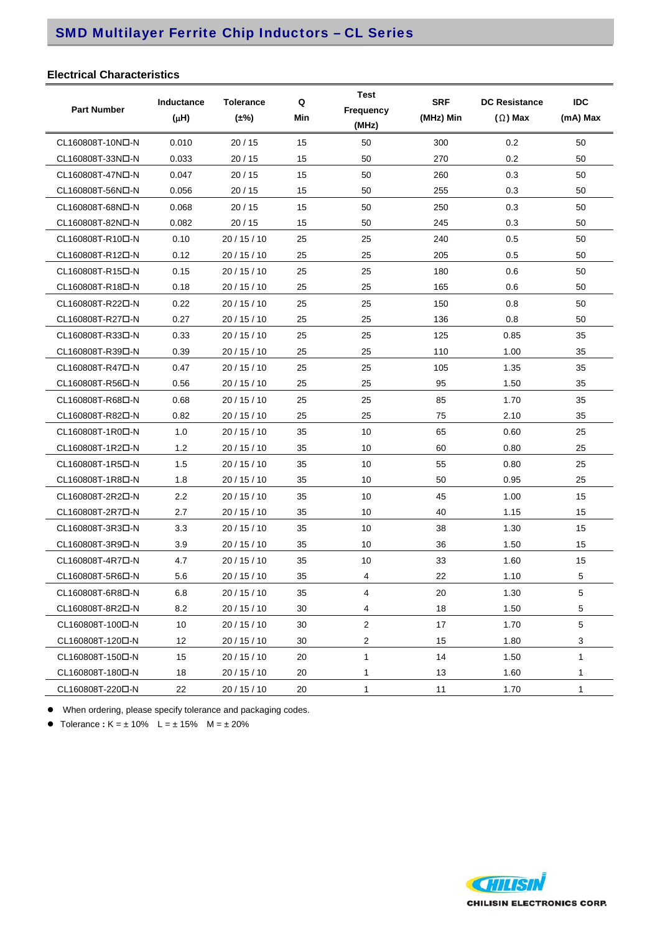# SMD Multilayer Ferrite Chip Inductors – CL Series

## **Electrical Characteristics**

| <b>Part Number</b>            | Inductance<br>$(\mu H)$ | <b>Tolerance</b><br>$(\pm\%)$ | Q<br>Min | <b>Test</b><br>Frequency<br>(MHz) | <b>SRF</b><br>(MHz) Min | <b>DC Resistance</b><br>$(\Omega)$ Max | <b>IDC</b><br>(mA) Max |
|-------------------------------|-------------------------|-------------------------------|----------|-----------------------------------|-------------------------|----------------------------------------|------------------------|
| CL160808T-10NO-N              | 0.010                   | 20/15                         | 15       | 50                                | 300                     | 0.2                                    | 50                     |
| CL160808T-33N口-N              | 0.033                   | 20/15                         | 15       | 50                                | 270                     | 0.2                                    | 50                     |
| CL160808T-47NO-N              | 0.047                   | 20/15                         | 15       | 50                                | 260                     | 0.3                                    | 50                     |
| CL160808T-56NO-N              | 0.056                   | 20/15                         | 15       | 50                                | 255                     | 0.3                                    | 50                     |
| CL160808T-68NO-N              | 0.068                   | 20/15                         | 15       | 50                                | 250                     | 0.3                                    | 50                     |
| CL160808T-82ND-N              | 0.082                   | 20/15                         | 15       | 50                                | 245                     | 0.3                                    | 50                     |
| CL160808T-R10 <sup>D</sup> -N | 0.10                    | 20/15/10                      | 25       | 25                                | 240                     | 0.5                                    | 50                     |
| CL160808T-R12D-N              | 0.12                    | 20 / 15 / 10                  | 25       | 25                                | 205                     | 0.5                                    | 50                     |
| CL160808T-R15D-N              | 0.15                    | 20/15/10                      | 25       | 25                                | 180                     | 0.6                                    | 50                     |
| CL160808T-R18D-N              | 0.18                    | 20/15/10                      | 25       | 25                                | 165                     | 0.6                                    | 50                     |
| CL160808T-R22D-N              | 0.22                    | 20/15/10                      | 25       | 25                                | 150                     | 0.8                                    | 50                     |
| CL160808T-R27D-N              | 0.27                    | 20/15/10                      | 25       | 25                                | 136                     | 0.8                                    | 50                     |
| CL160808T-R33D-N              | 0.33                    | 20/15/10                      | 25       | 25                                | 125                     | 0.85                                   | 35                     |
| CL160808T-R39D-N              | 0.39                    | 20/15/10                      | 25       | 25                                | 110                     | 1.00                                   | 35                     |
| CL160808T-R47D-N              | 0.47                    | 20/15/10                      | 25       | 25                                | 105                     | 1.35                                   | 35                     |
| CL160808T-R56口-N              | 0.56                    | 20/15/10                      | 25       | 25                                | 95                      | 1.50                                   | 35                     |
| CL160808T-R68D-N              | 0.68                    | 20/15/10                      | 25       | 25                                | 85                      | 1.70                                   | 35                     |
| CL160808T-R82D-N              | 0.82                    | 20/15/10                      | 25       | 25                                | 75                      | 2.10                                   | 35                     |
| CL160808T-1R0D-N              | 1.0                     | 20/15/10                      | 35       | 10                                | 65                      | 0.60                                   | 25                     |
| CL160808T-1R2D-N              | 1.2                     | 20 / 15 / 10                  | 35       | 10                                | 60                      | 0.80                                   | 25                     |
| CL160808T-1R5D-N              | 1.5                     | 20/15/10                      | 35       | 10                                | 55                      | 0.80                                   | 25                     |
| CL160808T-1R8D-N              | 1.8                     | 20/15/10                      | 35       | 10                                | 50                      | 0.95                                   | 25                     |
| CL160808T-2R2D-N              | 2.2                     | 20/15/10                      | 35       | 10                                | 45                      | 1.00                                   | 15                     |
| CL160808T-2R7D-N              | 2.7                     | 20/15/10                      | 35       | 10                                | 40                      | 1.15                                   | 15                     |
| CL160808T-3R3D-N              | 3.3                     | 20/15/10                      | 35       | 10                                | 38                      | 1.30                                   | 15                     |
| CL160808T-3R9口-N              | 3.9                     | 20/15/10                      | 35       | 10                                | 36                      | 1.50                                   | 15                     |
| CL160808T-4R7D-N              | 4.7                     | 20/15/10                      | 35       | 10                                | 33                      | 1.60                                   | 15                     |
| CL160808T-5R6口-N              | 5.6                     | 20/15/10                      | 35       | 4                                 | 22                      | 1.10                                   | 5                      |
| CL160808T-6R8口-N              | 6.8                     | 20 / 15 / 10                  | 35       | 4                                 | 20                      | 1.30                                   | 5                      |
| CL160808T-8R2D-N              | 8.2                     | 20 / 15 / 10                  | 30       | 4                                 | 18                      | 1.50                                   | 5                      |
| CL160808T-100D-N              | 10                      | 20/15/10                      | 30       | $\mathbf{2}$                      | 17                      | 1.70                                   | 5                      |
| CL160808T-120D-N              | 12                      | 20 / 15 / 10                  | 30       | $\overline{c}$                    | 15                      | 1.80                                   | 3                      |
| CL160808T-150D-N              | 15                      | 20/15/10                      | 20       | $\mathbf{1}$                      | 14                      | 1.50                                   | 1                      |
| CL160808T-180□-N              | 18                      | 20 / 15 / 10                  | 20       | 1                                 | 13                      | 1.60                                   | 1                      |
| CL160808T-220D-N              | 22                      | 20 / 15 / 10                  | 20       | $\mathbf{1}$                      | 11                      | 1.70                                   | 1                      |

When ordering, please specify tolerance and packaging codes.

• Tolerance  $: K = \pm 10\%$  L =  $\pm 15\%$  M =  $\pm 20\%$ 

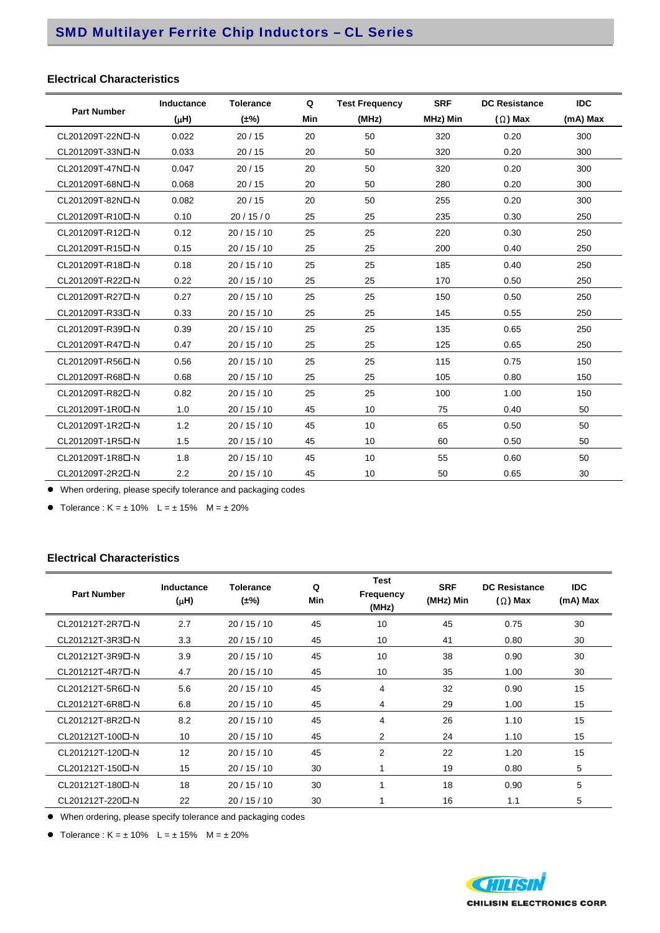# SMD Multilayer Ferrite Chip Inductors – CL Series

## **Electrical Characteristics**

|                               | Inductance | <b>Tolerance</b> | Q   | <b>Test Frequency</b> | <b>SRF</b> | <b>DC Resistance</b> | <b>IDC</b> |
|-------------------------------|------------|------------------|-----|-----------------------|------------|----------------------|------------|
| <b>Part Number</b>            | $(\mu H)$  | $(\pm\%)$        | Min | (MHz)                 | MHz) Min   | $(\Omega)$ Max       | (mA) Max   |
| CL201209T-22N口-N              | 0.022      | 20/15            | 20  | 50                    | 320        | 0.20                 | 300        |
| CL201209T-33N口-N              | 0.033      | 20/15            | 20  | 50                    | 320        | 0.20                 | 300        |
| CL201209T-47NO-N              | 0.047      | 20/15            | 20  | 50                    | 320        | 0.20                 | 300        |
| CL201209T-68N口-N              | 0.068      | 20/15            | 20  | 50                    | 280        | 0.20                 | 300        |
| CL201209T-82N口-N              | 0.082      | 20/15            | 20  | 50                    | 255        | 0.20                 | 300        |
| CL201209T-R10 <sup>D</sup> -N | 0.10       | 20/15/0          | 25  | 25                    | 235        | 0.30                 | 250        |
| CL201209T-R12D-N              | 0.12       | 20/15/10         | 25  | 25                    | 220        | 0.30                 | 250        |
| CL201209T-R15D-N              | 0.15       | 20/15/10         | 25  | 25                    | 200        | 0.40                 | 250        |
| CL201209T-R18D-N              | 0.18       | 20/15/10         | 25  | 25                    | 185        | 0.40                 | 250        |
| CL201209T-R22D-N              | 0.22       | 20/15/10         | 25  | 25                    | 170        | 0.50                 | 250        |
| CL201209T-R27D-N              | 0.27       | 20/15/10         | 25  | 25                    | 150        | 0.50                 | 250        |
| CL201209T-R33D-N              | 0.33       | 20/15/10         | 25  | 25                    | 145        | 0.55                 | 250        |
| CL201209T-R39D-N              | 0.39       | 20/15/10         | 25  | 25                    | 135        | 0.65                 | 250        |
| CL201209T-R47D-N              | 0.47       | 20/15/10         | 25  | 25                    | 125        | 0.65                 | 250        |
| CL201209T-R56D-N              | 0.56       | 20/15/10         | 25  | 25                    | 115        | 0.75                 | 150        |
| CL201209T-R68D-N              | 0.68       | 20/15/10         | 25  | 25                    | 105        | 0.80                 | 150        |
| CL201209T-R82D-N              | 0.82       | 20/15/10         | 25  | 25                    | 100        | 1.00                 | 150        |
| CL201209T-1R0D-N              | 1.0        | 20/15/10         | 45  | 10                    | 75         | 0.40                 | 50         |
| CL201209T-1R2D-N              | 1.2        | 20/15/10         | 45  | 10                    | 65         | 0.50                 | 50         |
| CL201209T-1R5D-N              | 1.5        | 20/15/10         | 45  | 10                    | 60         | 0.50                 | 50         |
| CL201209T-1R8D-N              | 1.8        | 20/15/10         | 45  | 10                    | 55         | 0.60                 | 50         |
| CL201209T-2R2D-N              | 2.2        | 20/15/10         | 45  | 10                    | 50         | 0.65                 | 30         |

When ordering, please specify tolerance and packaging codes

• Tolerance :  $K = \pm 10\%$  L =  $\pm 15\%$  M =  $\pm 20\%$ 

## **Electrical Characteristics**

| <b>Part Number</b>            | Inductance<br>$(\mu H)$ | <b>Tolerance</b><br>$(\pm\%)$ | <b>Test</b><br>Q<br><b>Frequency</b><br>Min<br>(MHz) |                | <b>SRF</b><br>(MHz) Min | <b>DC Resistance</b><br>$(\Omega)$ Max | <b>IDC</b><br>(mA) Max |
|-------------------------------|-------------------------|-------------------------------|------------------------------------------------------|----------------|-------------------------|----------------------------------------|------------------------|
| CL201212T-2R7D-N              | 2.7                     | 20/15/10                      | 45                                                   | 10             | 45                      | 0.75                                   | 30                     |
| CL201212T-3R3D-N              | 3.3                     | 20/15/10                      | 45                                                   | 10             | 41                      | 0.80                                   | 30                     |
| CL201212T-3R9D-N              | 3.9                     | 20/15/10                      | 45                                                   | 10             | 38                      | 0.90                                   | 30                     |
| CL201212T-4R7D-N              | 4.7                     | 20/15/10                      | 45                                                   | 10             | 35                      | 1.00                                   | 30                     |
| CL201212T-5R6D-N              | 5.6                     | 20/15/10                      | 45                                                   | 4              | 32                      | 0.90                                   | 15                     |
| CL201212T-6R80-N              | 6.8                     | 20/15/10                      | 45                                                   | 4              | 29                      | 1.00                                   | 15                     |
| CL201212T-8R2D-N              | 8.2                     | 20/15/10                      | 45                                                   | 4              | 26                      | 1.10                                   | 15                     |
| CL201212T-1000-N              | 10                      | 20/15/10                      | 45                                                   | $\overline{2}$ | 24                      | 1.10                                   | 15                     |
| CL201212T-120 <sub>D</sub> -N | 12                      | 20/15/10                      | 45                                                   | $\overline{2}$ | 22                      | 1.20                                   | 15                     |
| CL201212T-150D-N              | 15                      | 20/15/10                      | 30                                                   | 1              | 19                      | 0.80                                   | 5                      |
| CL201212T-180D-N              | 18                      | 20/15/10                      | 30                                                   | 1              | 18                      | 0.90                                   | 5                      |
| CL201212T-220D-N              | 22                      | 20/15/10                      | 30                                                   |                | 16                      | 1.1                                    | 5                      |

When ordering, please specify tolerance and packaging codes

• Tolerance :  $K = \pm 10\%$   $L = \pm 15\%$   $M = \pm 20\%$ 

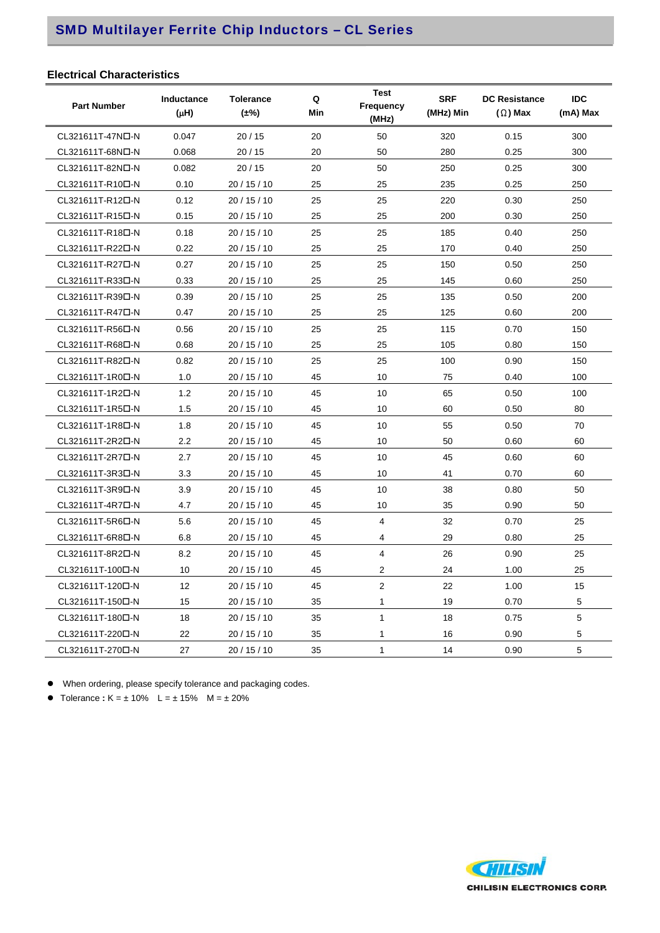# SMD Multilayer Ferrite Chip Inductors – CL Series

## **Electrical Characteristics**

| <b>Part Number</b>            | <b>Inductance</b><br>$(\mu H)$ | <b>Tolerance</b><br>$(\pm\%)$ | Q<br>Min | <b>Test</b><br>Frequency<br>(MHz) | <b>SRF</b><br>(MHz) Min | <b>DC Resistance</b><br>$(\Omega)$ Max | <b>IDC</b><br>(mA) Max |
|-------------------------------|--------------------------------|-------------------------------|----------|-----------------------------------|-------------------------|----------------------------------------|------------------------|
| CL321611T-47NO-N              | 0.047                          | 20/15                         | 20       | 50                                | 320                     | 0.15                                   | 300                    |
| CL321611T-68N口-N              | 0.068                          | 20/15                         | 20       | 50                                | 280                     | 0.25                                   | 300                    |
| CL321611T-82ND-N              | 0.082                          | 20/15                         | 20       | 50                                | 250                     | 0.25                                   | 300                    |
| CL321611T-R10 <sup>D</sup> -N | 0.10                           | 20/15/10                      | 25       | 25                                | 235                     | 0.25                                   | 250                    |
| CL321611T-R12D-N              | 0.12                           | 20/15/10                      | 25       | 25                                | 220                     | 0.30                                   | 250                    |
| CL321611T-R15D-N              | 0.15                           | 20 / 15 / 10                  | 25       | 25                                | 200                     | 0.30                                   | 250                    |
| CL321611T-R18D-N              | 0.18                           | 20/15/10                      | 25       | 25                                | 185                     | 0.40                                   | 250                    |
| CL321611T-R22D-N              | 0.22                           | 20 / 15 / 10                  | 25       | 25                                | 170                     | 0.40                                   | 250                    |
| CL321611T-R27D-N              | 0.27                           | 20 / 15 / 10                  | 25       | 25                                | 150                     | 0.50                                   | 250                    |
| CL321611T-R33D-N              | 0.33                           | 20 / 15 / 10                  | 25       | 25                                | 145                     | 0.60                                   | 250                    |
| CL321611T-R39D-N              | 0.39                           | 20 / 15 / 10                  | 25       | 25                                | 135                     | 0.50                                   | 200                    |
| CL321611T-R47D-N              | 0.47                           | 20/15/10                      | 25       | 25                                | 125                     | 0.60                                   | 200                    |
| CL321611T-R56D-N              | 0.56                           | 20 / 15 / 10                  | 25       | 25                                | 115                     | 0.70                                   | 150                    |
| CL321611T-R68D-N              | 0.68                           | 20/15/10                      | 25       | 25                                | 105                     | 0.80                                   | 150                    |
| CL321611T-R82D-N              | 0.82                           | 20 / 15 / 10                  | 25       | 25                                | 100                     | 0.90                                   | 150                    |
| CL321611T-1R0D-N              | 1.0                            | 20 / 15 / 10                  | 45       | 10                                | 75                      | 0.40                                   | 100                    |
| CL321611T-1R2D-N              | 1.2                            | 20/15/10                      | 45       | 10                                | 65                      | 0.50                                   | 100                    |
| CL321611T-1R5D-N              | 1.5                            | 20 / 15 / 10                  | 45       | 10                                | 60                      | 0.50                                   | 80                     |
| CL321611T-1R8D-N              | 1.8                            | 20/15/10                      | 45       | 10                                | 55                      | 0.50                                   | 70                     |
| CL321611T-2R2D-N              | 2.2                            | 20 / 15 / 10                  | 45       | 10                                | 50                      | 0.60                                   | 60                     |
| CL321611T-2R7D-N              | 2.7                            | 20/15/10                      | 45       | 10                                | 45                      | 0.60                                   | 60                     |
| CL321611T-3R3D-N              | 3.3                            | 20/15/10                      | 45       | 10                                | 41                      | 0.70                                   | 60                     |
| CL321611T-3R9D-N              | 3.9                            | 20/15/10                      | 45       | 10                                | 38                      | 0.80                                   | 50                     |
| CL321611T-4R7D-N              | 4.7                            | 20/15/10                      | 45       | 10                                | 35                      | 0.90                                   | 50                     |
| CL321611T-5R6D-N              | 5.6                            | 20 / 15 / 10                  | 45       | $\overline{4}$                    | 32                      | 0.70                                   | 25                     |
| CL321611T-6R8D-N              | 6.8                            | 20 / 15 / 10                  | 45       | $\overline{4}$                    | 29                      | 0.80                                   | 25                     |
| CL321611T-8R2D-N              | 8.2                            | 20 / 15 / 10                  | 45       | 4                                 | 26                      | 0.90                                   | 25                     |
| CL321611T-100D-N              | 10                             | 20 / 15 / 10                  | 45       | 2                                 | 24                      | 1.00                                   | 25                     |
| CL321611T-120D-N              | 12                             | 20/15/10                      | 45       | $\overline{2}$                    | 22                      | 1.00                                   | 15                     |
| CL321611T-150D-N              | 15                             | 20/15/10                      | 35       | 1                                 | 19                      | 0.70                                   | 5                      |
| CL321611T-180D-N              | 18                             | 20/15/10                      | 35       | $\mathbf{1}$                      | 18                      | 0.75                                   | 5                      |
| CL321611T-220D-N              | 22                             | 20/15/10                      | 35       | $\mathbf{1}$                      | 16                      | 0.90                                   | 5                      |
| CL321611T-270D-N              | 27                             | 20 / 15 / 10                  | 35       | 1                                 | 14                      | 0.90                                   | 5                      |

When ordering, please specify tolerance and packaging codes.

 $\bullet$  Tolerance **:**  $K = \pm 10\%$  L =  $\pm 15\%$  M =  $\pm 20\%$ 

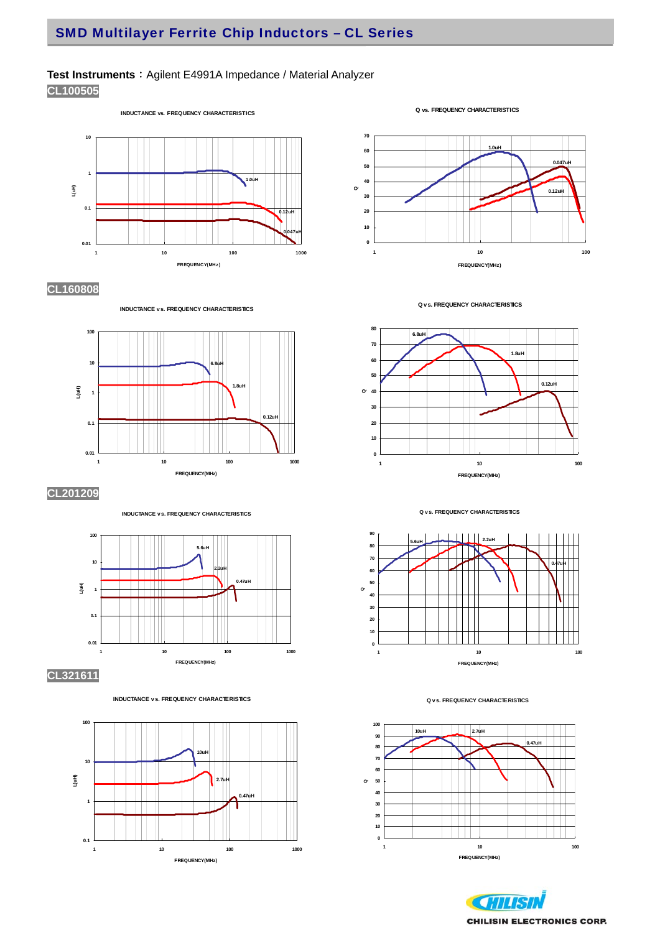## Test Instruments : Agilent E4991A Impedance / Material Analyzer

**CL100505** 

**INDUCTANCE vs. FREQUENCY CHARACTERISTICS**



## **CL160808**



**INDUCTANCE vs. FREQUENCY CHARACTERISTICS**

**CL201209**





















#### **Q v s. FREQUENCY CHARACTERISTICS**





**Q vs. FREQUENCY CHARACTERISTICS**